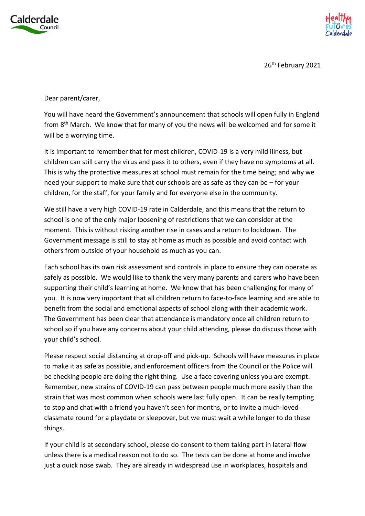



26<sup>th</sup> February 2021

Dear parent/carer,

You will have heard the Government's announcement that schools will open fully in England from 8<sup>th</sup> March. We know that for many of you the news will be welcomed and for some it will be a worrying time.

It is important to remember that for most children, COVID-19 is a very mild illness, but children can still carry the virus and pass it to others, even if they have no symptoms at all. This is why the protective measures at school must remain for the time being; and why we need your support to make sure that our schools are as safe as they can be – for your children, for the staff, for your family and for everyone else in the community.

We still have a very high COVID-19 rate in Calderdale, and this means that the return to school is one of the only major loosening of restrictions that we can consider at the moment. This is without risking another rise in cases and a return to lockdown. The Government message is still to stay at home as much as possible and avoid contact with others from outside of your household as much as you can.

Each school has its own risk assessment and controls in place to ensure they can operate as safely as possible. We would like to thank the very many parents and carers who have been supporting their child's learning at home. We know that has been challenging for many of you. It is now very important that all children return to face-to-face learning and are able to benefit from the social and emotional aspects of school along with their academic work. The Government has been clear that attendance is mandatory once all children return to school so if you have any concerns about your child attending, please do discuss those with your child's school.

Please respect social distancing at drop-off and pick-up. Schools will have measures in place to make it as safe as possible, and enforcement officers from the Council or the Police will be checking people are doing the right thing. Use a face covering unless you are exempt. Remember, new strains of COVID-19 can pass between people much more easily than the strain that was most common when schools were last fully open. It can be really tempting to stop and chat with a friend you haven't seen for months, or to invite a much-loved classmate round for a playdate or sleepover, but we must wait a while longer to do these things.

If your child is at secondary school, please do consent to them taking part in lateral flow unless there is a medical reason not to do so. The tests can be done at home and involve just a quick nose swab. They are already in widespread use in workplaces, hospitals and